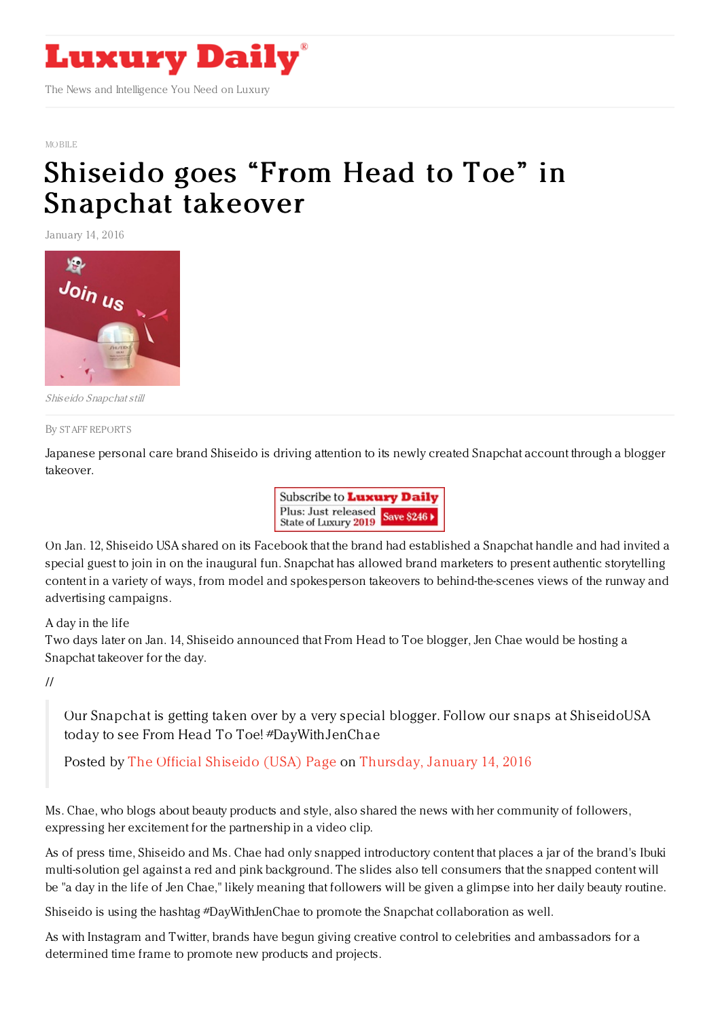

## MORILE

## Shiseido goes "From Head to Toe" in [Snapchat](https://www.luxurydaily.com/shiseido-goes-from-head-to-toe-in-snapchat-takeover/) takeover

January 14, 2016



Shiseido Snapchat still

## By STAFF [REPORT](file:///author/staff-reports) S

Japanese personal care brand Shiseido is driving attention to its newly created Snapchat account through a blogger takeover.



On Jan. 12, Shiseido USA shared on its Facebook that the brand had established a Snapchat handle and had invited a special guest to join in on the inaugural fun. Snapchat has allowed brand marketers to present authentic storytelling content in a variety of ways, from model and spokesperson takeovers to behind-the-scenes views of the runway and advertising campaigns.

## A day in the life

Two days later on Jan. 14, Shiseido announced that From Head to Toe blogger, Jen Chae would be hosting a Snapchat takeover for the day.

//

Our Snapchat is getting taken over by a very special blogger. Follow our snaps at ShiseidoUSA today to see From Head To Toe! #DayWithJenChae

Posted by The Official [Shiseido](https://www.facebook.com/shiseido/) (USA) Page on [Thursday,](https://www.facebook.com/shiseido/posts/10153605163264667:0) January 14, 2016

Ms. Chae, who blogs about beauty products and style, also shared the news with her community of followers, expressing her excitement for the partnership in a video clip.

As of press time, Shiseido and Ms. Chae had only snapped introductory content that places a jar of the brand's Ibuki multi-solution gel against a red and pink background. The slides also tell consumers that the snapped content will be "a day in the life of Jen Chae," likely meaning that followers will be given a glimpse into her daily beauty routine.

Shiseido is using the hashtag #DayWithJenChae to promote the Snapchat collaboration as well.

As with Instagram and Twitter, brands have begun giving creative control to celebrities and ambassadors for a determined time frame to promote new products and projects.